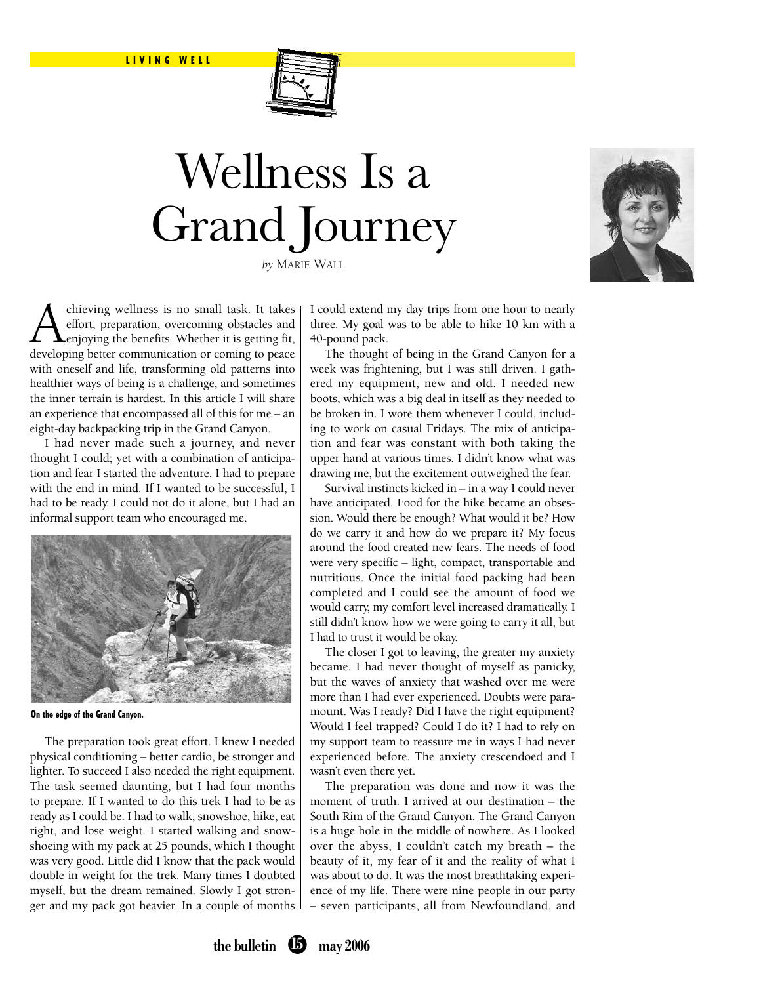

# Wellness Is a Grand Journey





A chieving wellness is no small task. It takes<br>effort, preparation, overcoming obstacles and<br>developing hetter communication or coming to peace effort, preparation, overcoming obstacles and enjoying the benefits. Whether it is getting fit, developing better communication or coming to peace with oneself and life, transforming old patterns into healthier ways of being is a challenge, and sometimes the inner terrain is hardest. In this article I will share an experience that encompassed all of this for me – an eight-day backpacking trip in the Grand Canyon.

I had never made such a journey, and never thought I could; yet with a combination of anticipation and fear I started the adventure. I had to prepare with the end in mind. If I wanted to be successful, I had to be ready. I could not do it alone, but I had an informal support team who encouraged me.



On the edge of the Grand Canyon.

The preparation took great effort. I knew I needed physical conditioning – better cardio, be stronger and lighter. To succeed I also needed the right equipment. The task seemed daunting, but I had four months to prepare. If I wanted to do this trek I had to be as ready as I could be. I had to walk, snowshoe, hike, eat right, and lose weight. I started walking and snowshoeing with my pack at 25 pounds, which I thought was very good. Little did I know that the pack would double in weight for the trek. Many times I doubted myself, but the dream remained. Slowly I got stronger and my pack got heavier. In a couple of months I could extend my day trips from one hour to nearly three. My goal was to be able to hike 10 km with a 40-pound pack.

The thought of being in the Grand Canyon for a week was frightening, but I was still driven. I gathered my equipment, new and old. I needed new boots, which was a big deal in itself as they needed to be broken in. I wore them whenever I could, including to work on casual Fridays. The mix of anticipation and fear was constant with both taking the upper hand at various times. I didn't know what was drawing me, but the excitement outweighed the fear.

Survival instincts kicked in – in a way I could never have anticipated. Food for the hike became an obsession. Would there be enough? What would it be? How do we carry it and how do we prepare it? My focus around the food created new fears. The needs of food were very specific – light, compact, transportable and nutritious. Once the initial food packing had been completed and I could see the amount of food we would carry, my comfort level increased dramatically. I still didn't know how we were going to carry it all, but I had to trust it would be okay.

The closer I got to leaving, the greater my anxiety became. I had never thought of myself as panicky, but the waves of anxiety that washed over me were more than I had ever experienced. Doubts were paramount. Was I ready? Did I have the right equipment? Would I feel trapped? Could I do it? I had to rely on my support team to reassure me in ways I had never experienced before. The anxiety crescendoed and I wasn't even there yet.

The preparation was done and now it was the moment of truth. I arrived at our destination – the South Rim of the Grand Canyon. The Grand Canyon is a huge hole in the middle of nowhere. As I looked over the abyss, I couldn't catch my breath – the beauty of it, my fear of it and the reality of what I was about to do. It was the most breathtaking experience of my life. There were nine people in our party – seven participants, all from Newfoundland, and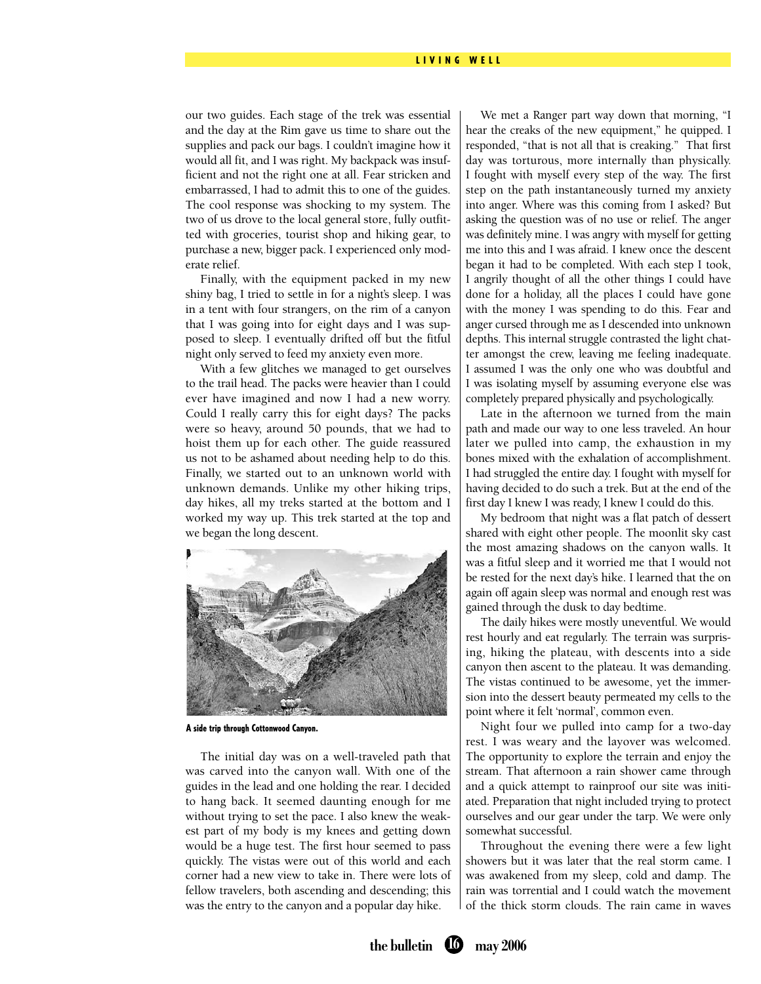#### LIVING WELL

our two guides. Each stage of the trek was essential and the day at the Rim gave us time to share out the supplies and pack our bags. I couldn't imagine how it would all fit, and I was right. My backpack was insufficient and not the right one at all. Fear stricken and embarrassed, I had to admit this to one of the guides. The cool response was shocking to my system. The two of us drove to the local general store, fully outfitted with groceries, tourist shop and hiking gear, to purchase a new, bigger pack. I experienced only moderate relief.

Finally, with the equipment packed in my new shiny bag, I tried to settle in for a night's sleep. I was in a tent with four strangers, on the rim of a canyon that I was going into for eight days and I was supposed to sleep. I eventually drifted off but the fitful night only served to feed my anxiety even more.

With a few glitches we managed to get ourselves to the trail head. The packs were heavier than I could ever have imagined and now I had a new worry. Could I really carry this for eight days? The packs were so heavy, around 50 pounds, that we had to hoist them up for each other. The guide reassured us not to be ashamed about needing help to do this. Finally, we started out to an unknown world with unknown demands. Unlike my other hiking trips, day hikes, all my treks started at the bottom and I worked my way up. This trek started at the top and we began the long descent.



A side trip through Cottonwood Canyon.

The initial day was on a well-traveled path that was carved into the canyon wall. With one of the guides in the lead and one holding the rear. I decided to hang back. It seemed daunting enough for me without trying to set the pace. I also knew the weakest part of my body is my knees and getting down would be a huge test. The first hour seemed to pass quickly. The vistas were out of this world and each corner had a new view to take in. There were lots of fellow travelers, both ascending and descending; this was the entry to the canyon and a popular day hike.

We met a Ranger part way down that morning, "I hear the creaks of the new equipment," he quipped. I responded, "that is not all that is creaking." That first day was torturous, more internally than physically. I fought with myself every step of the way. The first step on the path instantaneously turned my anxiety into anger. Where was this coming from I asked? But asking the question was of no use or relief. The anger was definitely mine. I was angry with myself for getting me into this and I was afraid. I knew once the descent began it had to be completed. With each step I took, I angrily thought of all the other things I could have done for a holiday, all the places I could have gone with the money I was spending to do this. Fear and anger cursed through me as I descended into unknown depths. This internal struggle contrasted the light chatter amongst the crew, leaving me feeling inadequate. I assumed I was the only one who was doubtful and I was isolating myself by assuming everyone else was completely prepared physically and psychologically.

Late in the afternoon we turned from the main path and made our way to one less traveled. An hour later we pulled into camp, the exhaustion in my bones mixed with the exhalation of accomplishment. I had struggled the entire day. I fought with myself for having decided to do such a trek. But at the end of the first day I knew I was ready, I knew I could do this.

My bedroom that night was a flat patch of dessert shared with eight other people. The moonlit sky cast the most amazing shadows on the canyon walls. It was a fitful sleep and it worried me that I would not be rested for the next day's hike. I learned that the on again off again sleep was normal and enough rest was gained through the dusk to day bedtime.

The daily hikes were mostly uneventful. We would rest hourly and eat regularly. The terrain was surprising, hiking the plateau, with descents into a side canyon then ascent to the plateau. It was demanding. The vistas continued to be awesome, yet the immersion into the dessert beauty permeated my cells to the point where it felt 'normal', common even.

Night four we pulled into camp for a two-day rest. I was weary and the layover was welcomed. The opportunity to explore the terrain and enjoy the stream. That afternoon a rain shower came through and a quick attempt to rainproof our site was initiated. Preparation that night included trying to protect ourselves and our gear under the tarp. We were only somewhat successful.

Throughout the evening there were a few light showers but it was later that the real storm came. I was awakened from my sleep, cold and damp. The rain was torrential and I could watch the movement of the thick storm clouds. The rain came in waves